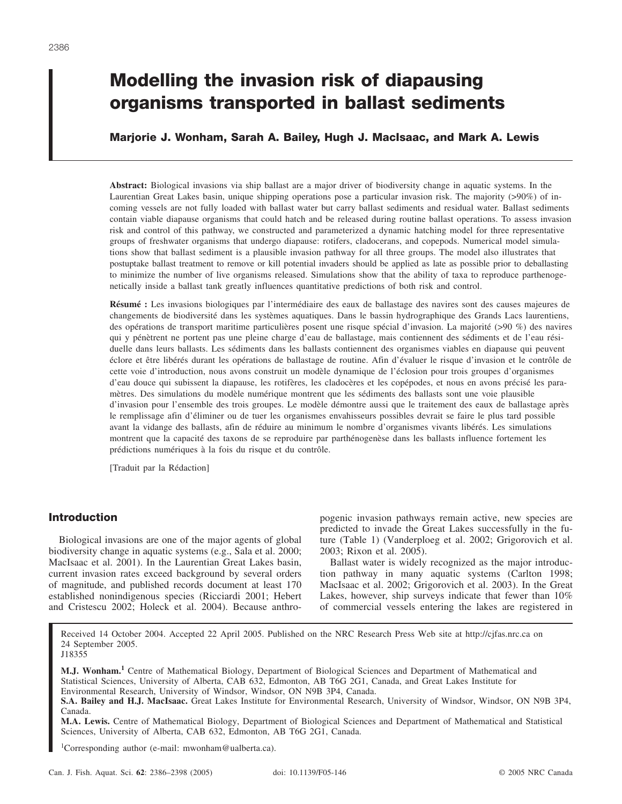# **Modelling the invasion risk of diapausing organisms transported in ballast sediments**

# **Marjorie J. Wonham, Sarah A. Bailey, Hugh J. MacIsaac, and Mark A. Lewis**

**Abstract:** Biological invasions via ship ballast are a major driver of biodiversity change in aquatic systems. In the Laurentian Great Lakes basin, unique shipping operations pose a particular invasion risk. The majority (>90%) of incoming vessels are not fully loaded with ballast water but carry ballast sediments and residual water. Ballast sediments contain viable diapause organisms that could hatch and be released during routine ballast operations. To assess invasion risk and control of this pathway, we constructed and parameterized a dynamic hatching model for three representative groups of freshwater organisms that undergo diapause: rotifers, cladocerans, and copepods. Numerical model simulations show that ballast sediment is a plausible invasion pathway for all three groups. The model also illustrates that postuptake ballast treatment to remove or kill potential invaders should be applied as late as possible prior to deballasting to minimize the number of live organisms released. Simulations show that the ability of taxa to reproduce parthenogenetically inside a ballast tank greatly influences quantitative predictions of both risk and control.

**Résumé :** Les invasions biologiques par l'intermédiaire des eaux de ballastage des navires sont des causes majeures de changements de biodiversité dans les systèmes aquatiques. Dans le bassin hydrographique des Grands Lacs laurentiens, des opérations de transport maritime particulières posent une risque spécial d'invasion. La majorité (>90 %) des navires qui y pénètrent ne portent pas une pleine charge d'eau de ballastage, mais contiennent des sédiments et de l'eau résiduelle dans leurs ballasts. Les sédiments dans les ballasts contiennent des organismes viables en diapause qui peuvent éclore et être libérés durant les opérations de ballastage de routine. Afin d'évaluer le risque d'invasion et le contrôle de cette voie d'introduction, nous avons construit un modèle dynamique de l'éclosion pour trois groupes d'organismes d'eau douce qui subissent la diapause, les rotifères, les cladocères et les copépodes, et nous en avons précisé les paramètres. Des simulations du modèle numérique montrent que les sédiments des ballasts sont une voie plausible d'invasion pour l'ensemble des trois groupes. Le modèle démontre aussi que le traitement des eaux de ballastage après le remplissage afin d'éliminer ou de tuer les organismes envahisseurs possibles devrait se faire le plus tard possible avant la vidange des ballasts, afin de réduire au minimum le nombre d'organismes vivants libérés. Les simulations montrent que la capacité des taxons de se reproduire par parthénogenèse dans les ballasts influence fortement les prédictions numériques à la fois du risque et du contrôle.

[Traduit par la Rédaction]

## **Introduction**

Biological invasions are one of the major agents of global biodiversity change in aquatic systems (e.g., Sala et al. 2000; MacIsaac et al. 2001). In the Laurentian Great Lakes basin, current invasion rates exceed background by several orders of magnitude, and published records document at least 170 established nonindigenous species (Ricciardi 2001; Hebert and Cristescu 2002; Holeck et al. 2004). Because anthropogenic invasion pathways remain active, new species are predicted to invade the Great Lakes successfully in the future (Table 1) (Vanderploeg et al. 2002; Grigorovich et al. 2003; Rixon et al. 2005).

Ballast water is widely recognized as the major introduction pathway in many aquatic systems (Carlton 1998; MacIsaac et al. 2002; Grigorovich et al. 2003). In the Great Lakes, however, ship surveys indicate that fewer than 10% of commercial vessels entering the lakes are registered in

Received 14 October 2004. Accepted 22 April 2005. Published on the NRC Research Press Web site at http://cjfas.nrc.ca on 24 September 2005. J18355

**M.J. Wonham.<sup>1</sup>** Centre of Mathematical Biology, Department of Biological Sciences and Department of Mathematical and Statistical Sciences, University of Alberta, CAB 632, Edmonton, AB T6G 2G1, Canada, and Great Lakes Institute for Environmental Research, University of Windsor, Windsor, ON N9B 3P4, Canada.

**M.A. Lewis.** Centre of Mathematical Biology, Department of Biological Sciences and Department of Mathematical and Statistical Sciences, University of Alberta, CAB 632, Edmonton, AB T6G 2G1, Canada.

1 Corresponding author (e-mail: mwonham@ualberta.ca).

**S.A. Bailey and H.J. MacIsaac.** Great Lakes Institute for Environmental Research, University of Windsor, Windsor, ON N9B 3P4, Canada.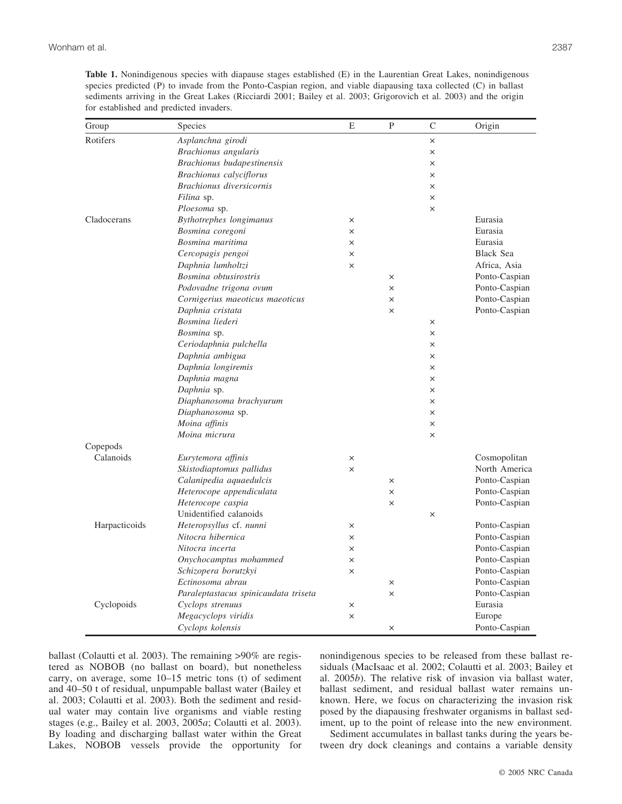| Group         | Species                              | E        | P        | $\mathcal{C}$ | Origin           |
|---------------|--------------------------------------|----------|----------|---------------|------------------|
| Rotifers      | Asplanchna girodi                    |          |          | ×             |                  |
|               | Brachionus angularis                 |          |          | $\times$      |                  |
|               | Brachionus budapestinensis           |          |          | $\times$      |                  |
|               | Brachionus calyciflorus              |          |          | $\times$      |                  |
|               | Brachionus diversicornis             |          |          | $\times$      |                  |
|               | Filina sp.                           |          |          | ×             |                  |
|               | Ploesoma sp.                         |          |          | $\times$      |                  |
| Cladocerans   | Bythotrephes longimanus              | $\times$ |          |               | Eurasia          |
|               | Bosmina coregoni                     | $\times$ |          |               | Eurasia          |
|               | Bosmina maritima                     | ×        |          |               | Eurasia          |
|               | Cercopagis pengoi                    | $\times$ |          |               | <b>Black Sea</b> |
|               | Daphnia lumholtzi                    | $\times$ |          |               | Africa, Asia     |
|               | Bosmina obtusirostris                |          | $\times$ |               | Ponto-Caspian    |
|               | Podovadne trigona ovum               |          | $\times$ |               | Ponto-Caspian    |
|               | Cornigerius maeoticus maeoticus      |          | $\times$ |               | Ponto-Caspian    |
|               | Daphnia cristata                     |          | $\times$ |               | Ponto-Caspian    |
|               | Bosmina liederi                      |          |          | ×             |                  |
|               | Bosmina sp.                          |          |          | $\times$      |                  |
|               | Ceriodaphnia pulchella               |          |          | $\times$      |                  |
|               | Daphnia ambigua                      |          |          | $\times$      |                  |
|               | Daphnia longiremis                   |          |          | $\times$      |                  |
|               | Daphnia magna                        |          |          | $\times$      |                  |
|               | Daphnia sp.                          |          |          | ×             |                  |
|               | Diaphanosoma brachyurum              |          |          | $\times$      |                  |
|               | Diaphanosoma sp.                     |          |          | $\times$      |                  |
|               | Moina affinis                        |          |          | $\times$      |                  |
|               | Moina micrura                        |          |          | $\times$      |                  |
| Copepods      |                                      |          |          |               |                  |
| Calanoids     | Eurytemora affinis                   | ×        |          |               | Cosmopolitan     |
|               | Skistodiaptomus pallidus             | $\times$ |          |               | North America    |
|               | Calanipedia aquaedulcis              |          | $\times$ |               | Ponto-Caspian    |
|               | Heterocope appendiculata             |          | $\times$ |               | Ponto-Caspian    |
|               | Heterocope caspia                    |          | $\times$ |               | Ponto-Caspian    |
|               | Unidentified calanoids               |          |          | $\times$      |                  |
| Harpacticoids | Heteropsyllus cf. nunni              | ×        |          |               | Ponto-Caspian    |
|               | Nitocra hibernica                    | ×        |          |               | Ponto-Caspian    |
|               | Nitocra incerta                      | ×        |          |               | Ponto-Caspian    |
|               | Onychocamptus mohammed               | ×        |          |               | Ponto-Caspian    |
|               | Schizopera borutzkyi                 | $\times$ |          |               | Ponto-Caspian    |
|               | Ectinosoma abrau                     |          | $\times$ |               | Ponto-Caspian    |
|               | Paraleptastacus spinicaudata triseta |          | $\times$ |               | Ponto-Caspian    |
| Cyclopoids    | Cyclops strenuus                     | $\times$ |          |               | Eurasia          |

*Megacyclops viridis*  $\times$   $\times$  Europe *Cyclops kolensis* × Ponto-Caspian

**Table 1.** Nonindigenous species with diapause stages established (E) in the Laurentian Great Lakes, nonindigenous species predicted (P) to invade from the Ponto-Caspian region, and viable diapausing taxa collected (C) in ballast sediments arriving in the Great Lakes (Ricciardi 2001; Bailey et al. 2003; Grigorovich et al. 2003) and the origin for established and predicted invaders.

ballast (Colautti et al. 2003). The remaining >90% are registered as NOBOB (no ballast on board), but nonetheless carry, on average, some 10–15 metric tons (t) of sediment and 40–50 t of residual, unpumpable ballast water (Bailey et al. 2003; Colautti et al. 2003). Both the sediment and residual water may contain live organisms and viable resting stages (e.g., Bailey et al. 2003, 2005*a*; Colautti et al. 2003). By loading and discharging ballast water within the Great Lakes, NOBOB vessels provide the opportunity for nonindigenous species to be released from these ballast residuals (MacIsaac et al. 2002; Colautti et al. 2003; Bailey et al. 2005*b*). The relative risk of invasion via ballast water, ballast sediment, and residual ballast water remains unknown. Here, we focus on characterizing the invasion risk posed by the diapausing freshwater organisms in ballast sediment, up to the point of release into the new environment.

Sediment accumulates in ballast tanks during the years between dry dock cleanings and contains a variable density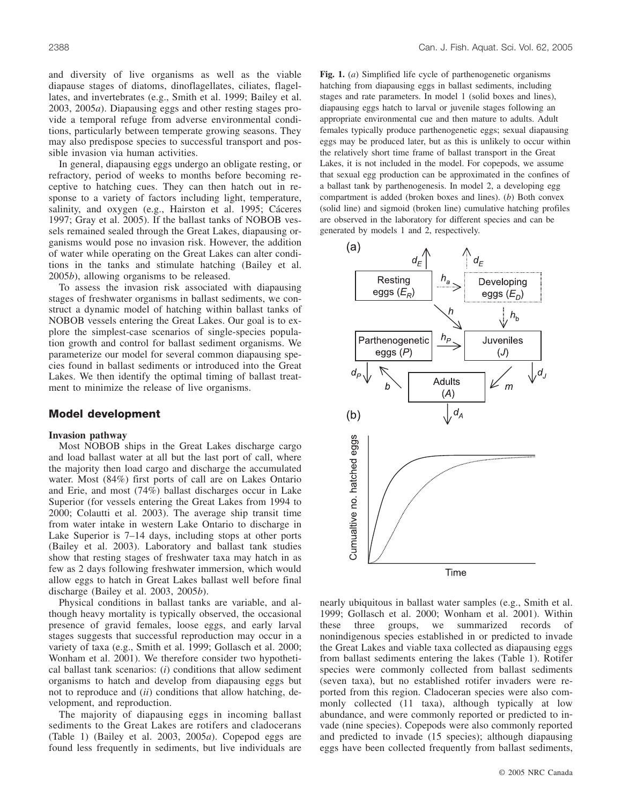and diversity of live organisms as well as the viable diapause stages of diatoms, dinoflagellates, ciliates, flagellates, and invertebrates (e.g., Smith et al. 1999; Bailey et al. 2003, 2005*a*). Diapausing eggs and other resting stages provide a temporal refuge from adverse environmental conditions, particularly between temperate growing seasons. They may also predispose species to successful transport and possible invasion via human activities.

In general, diapausing eggs undergo an obligate resting, or refractory, period of weeks to months before becoming receptive to hatching cues. They can then hatch out in response to a variety of factors including light, temperature, salinity, and oxygen (e.g., Hairston et al. 1995; Cáceres 1997; Gray et al. 2005). If the ballast tanks of NOBOB vessels remained sealed through the Great Lakes, diapausing organisms would pose no invasion risk. However, the addition of water while operating on the Great Lakes can alter conditions in the tanks and stimulate hatching (Bailey et al. 2005*b*), allowing organisms to be released.

To assess the invasion risk associated with diapausing stages of freshwater organisms in ballast sediments, we construct a dynamic model of hatching within ballast tanks of NOBOB vessels entering the Great Lakes. Our goal is to explore the simplest-case scenarios of single-species population growth and control for ballast sediment organisms. We parameterize our model for several common diapausing species found in ballast sediments or introduced into the Great Lakes. We then identify the optimal timing of ballast treatment to minimize the release of live organisms.

## **Model development**

## **Invasion pathway**

Most NOBOB ships in the Great Lakes discharge cargo and load ballast water at all but the last port of call, where the majority then load cargo and discharge the accumulated water. Most (84%) first ports of call are on Lakes Ontario and Erie, and most (74%) ballast discharges occur in Lake Superior (for vessels entering the Great Lakes from 1994 to 2000; Colautti et al. 2003). The average ship transit time from water intake in western Lake Ontario to discharge in Lake Superior is 7–14 days, including stops at other ports (Bailey et al. 2003). Laboratory and ballast tank studies show that resting stages of freshwater taxa may hatch in as few as 2 days following freshwater immersion, which would allow eggs to hatch in Great Lakes ballast well before final discharge (Bailey et al. 2003, 2005*b*).

Physical conditions in ballast tanks are variable, and although heavy mortality is typically observed, the occasional presence of gravid females, loose eggs, and early larval stages suggests that successful reproduction may occur in a variety of taxa (e.g., Smith et al. 1999; Gollasch et al. 2000; Wonham et al. 2001). We therefore consider two hypothetical ballast tank scenarios: (*i*) conditions that allow sediment organisms to hatch and develop from diapausing eggs but not to reproduce and (*ii*) conditions that allow hatching, development, and reproduction.

The majority of diapausing eggs in incoming ballast sediments to the Great Lakes are rotifers and cladocerans (Table 1) (Bailey et al. 2003, 2005*a*). Copepod eggs are found less frequently in sediments, but live individuals are **Fig. 1.** (*a*) Simplified life cycle of parthenogenetic organisms hatching from diapausing eggs in ballast sediments, including stages and rate parameters. In model 1 (solid boxes and lines), diapausing eggs hatch to larval or juvenile stages following an appropriate environmental cue and then mature to adults. Adult females typically produce parthenogenetic eggs; sexual diapausing eggs may be produced later, but as this is unlikely to occur within the relatively short time frame of ballast transport in the Great Lakes, it is not included in the model. For copepods, we assume that sexual egg production can be approximated in the confines of a ballast tank by parthenogenesis. In model 2, a developing egg compartment is added (broken boxes and lines). (*b*) Both convex (solid line) and sigmoid (broken line) cumulative hatching profiles are observed in the laboratory for different species and can be generated by models 1 and 2, respectively.



nearly ubiquitous in ballast water samples (e.g., Smith et al. 1999; Gollasch et al. 2000; Wonham et al. 2001). Within these three groups, we summarized records of nonindigenous species established in or predicted to invade the Great Lakes and viable taxa collected as diapausing eggs from ballast sediments entering the lakes (Table 1). Rotifer species were commonly collected from ballast sediments (seven taxa), but no established rotifer invaders were reported from this region. Cladoceran species were also commonly collected (11 taxa), although typically at low abundance, and were commonly reported or predicted to invade (nine species). Copepods were also commonly reported and predicted to invade (15 species); although diapausing eggs have been collected frequently from ballast sediments,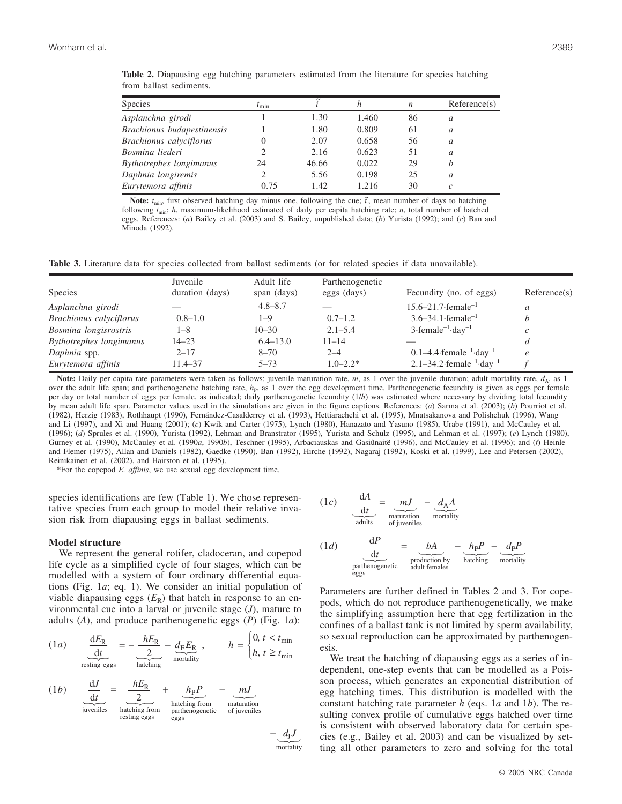| <b>Species</b>             | $t_{\rm min}$ |       | h     | $\boldsymbol{n}$ | Reference(s) |
|----------------------------|---------------|-------|-------|------------------|--------------|
| Asplanchna girodi          |               | 1.30  | 1.460 | 86               | a            |
| Brachionus budapestinensis |               | 1.80  | 0.809 | 61               | a            |
| Brachionus calyciflorus    |               | 2.07  | 0.658 | 56               | a            |
| Bosmina liederi            |               | 2.16  | 0.623 | 51               | a            |
| Bythotrephes longimanus    | 24            | 46.66 | 0.022 | 29               |              |
| Daphnia longiremis         |               | 5.56  | 0.198 | 25               | a            |
| Eurytemora affinis         | 0.75          | 1.42  | 1.216 | 30               |              |

**Table 2.** Diapausing egg hatching parameters estimated from the literature for species hatching from ballast sediments.

**Note:**  $t_{\text{min}}$ , first observed hatching day minus one, following the cue;  $\tilde{t}$ , mean number of days to hatching following  $t_{\text{min}}$ ; *h*, maximum-likelihood estimated of daily per capita hatching rate; *n*, total number of hatched eggs. References: (*a*) Bailey et al. (2003) and S. Bailey, unpublished data; (*b*) Yurista (1992); and (*c*) Ban and Minoda (1992).

**Table 3.** Literature data for species collected from ballast sediments (or for related species if data unavailable).

|                         | Juvenile        | Adult life   | Parthenogenetic |                                                     |              |
|-------------------------|-----------------|--------------|-----------------|-----------------------------------------------------|--------------|
| <b>Species</b>          | duration (days) | span (days)  | eggs (days)     | Fecundity (no. of eggs)                             | Reference(s) |
| Asplanchna girodi       |                 | $4.8 - 8.7$  |                 | $15.6 - 21.7$ female <sup>-1</sup>                  | a            |
| Brachionus calyciflorus | $0.8 - 1.0$     | $1 - 9$      | $0.7 - 1.2$     | $3.6 - 34.1$ female <sup>-1</sup>                   |              |
| Bosmina longisrostris   | 1–8             | $10 - 30$    | $2.1 - 5.4$     | $3$ -female <sup>-1</sup> -day <sup>-1</sup>        | c            |
| Bythotrephes longimanus | $14 - 23$       | $6.4 - 13.0$ | $11 - 14$       |                                                     | a            |
| Daphnia spp.            | $2 - 17$        | $8 - 70$     | $2 - 4$         | $0.1-4.4$ female <sup>-1</sup> day <sup>-1</sup>    | $\epsilon$   |
| Eurytemora affinis      | $11.4 - 37$     | $5 - 73$     | $1.0 - 2.2*$    | $2.1 - 34.2$ female <sup>-1</sup> day <sup>-1</sup> |              |

Note: Daily per capita rate parameters were taken as follows: juvenile maturation rate,  $m$ , as 1 over the juvenile duration; adult mortality rate,  $d_A$ , as 1 over the adult life span; and parthenogenetic hatching rate,  $h_p$ , as 1 over the egg development time. Parthenogenetic fecundity is given as eggs per female per day or total number of eggs per female, as indicated; daily parthenogenetic fecundity (1/*b*) was estimated where necessary by dividing total fecundity by mean adult life span. Parameter values used in the simulations are given in the figure captions. References: (*a*) Sarma et al. (2003); (*b*) Pourriot et al. (1982), Herzig (1983), Rothhaupt (1990), Fernández-Casalderrey et al. (1993), Hettiarachchi et al. (1995), Mnatsakanova and Polishchuk (1996), Wang and Li (1997), and Xi and Huang (2001); (*c*) Kwik and Carter (1975), Lynch (1980), Hanazato and Yasuno (1985), Urabe (1991), and McCauley et al. (1996); (*d*) Sprules et al. (1990), Yurista (1992), Lehman and Branstrator (1995), Yurista and Schulz (1995), and Lehman et al. (1997); (*e*) Lynch (1980), Gurney et al. (1990), McCauley et al. (1990*a*, 1990*b*), Teschner (1995), Arbaciauskas and Gasiûnaitë (1996), and McCauley et al. (1996); and (*f*) Heinle and Flemer (1975), Allan and Daniels (1982), Gaedke (1990), Ban (1992), Hirche (1992), Nagaraj (1992), Koski et al. (1999), Lee and Petersen (2002), Reinikainen et al. (2002), and Hairston et al. (1995).

\*For the copepod *E. affinis*, we use sexual egg development time.

species identifications are few (Table 1). We chose representative species from each group to model their relative invasion risk from diapausing eggs in ballast sediments.

#### **Model structure**

We represent the general rotifer, cladoceran, and copepod life cycle as a simplified cycle of four stages, which can be modelled with a system of four ordinary differential equations (Fig. 1*a*; eq. 1). We consider an initial population of viable diapausing eggs  $(E_R)$  that hatch in response to an environmental cue into a larval or juvenile stage (*J*), mature to adults (*A*), and produce parthenogenetic eggs (*P*) (Fig. 1*a*):

$$
(1a) \quad \frac{dE_{R}}{dt} = -\frac{hE_{R}}{2} - \underbrace{d_{E}E_{R}}_{\text{matching}} , \qquad h = \begin{cases} 0, \, t < t_{\text{min}} \\ h, \, t \geq t_{\text{min}} \end{cases}
$$

(1*b*) 
$$
\frac{dJ}{dt} = \underbrace{\frac{hE_{R}}{2}}_{\text{hatching from}}
$$

$$
+ \underbrace{h_{P}P}_{\text{hatching from}} - \underbrace{mJ}_{\text{matturation}}_{\text{matturation of juvenile}}
$$

 $-d<sub>I</sub>J$ mortality

(1*c*) 
$$
\frac{dA}{dt} = mJ \frac{dA}{dt}
$$
  
matrix 
$$
= \frac{d_A A}{dt}
$$
  
(1*d*) 
$$
\frac{dP}{dt} = bA - h_P P -
$$

*A*

(1*d*) 
$$
\frac{dI}{dt} = \underbrace{bA}_{\text{production by}
$$
 
$$
= \underbrace{h_{P}P}_{\text{hacking}} - \underbrace{d_{P}P}_{\text{mordality}}
$$

Parameters are further defined in Tables 2 and 3. For copepods, which do not reproduce parthenogenetically, we make the simplifying assumption here that egg fertilization in the confines of a ballast tank is not limited by sperm availability, so sexual reproduction can be approximated by parthenogenesis.

We treat the hatching of diapausing eggs as a series of independent, one-step events that can be modelled as a Poisson process, which generates an exponential distribution of egg hatching times. This distribution is modelled with the constant hatching rate parameter *h* (eqs. 1*a* and 1*b*). The resulting convex profile of cumulative eggs hatched over time is consistent with observed laboratory data for certain species (e.g., Bailey et al. 2003) and can be visualized by setting all other parameters to zero and solving for the total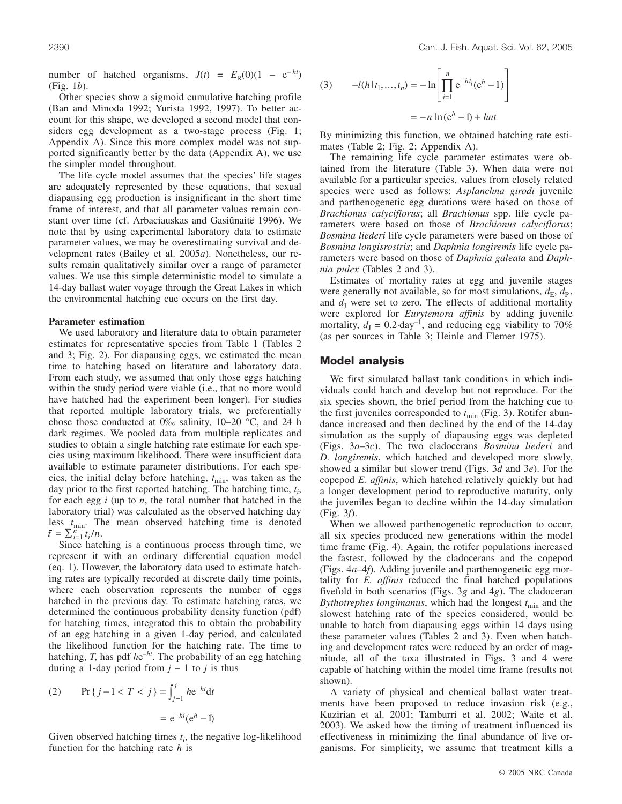number of hatched organisms,  $J(t) = E_R(0)(1 - e^{-ht})$ (Fig. 1*b*).

Other species show a sigmoid cumulative hatching profile (Ban and Minoda 1992; Yurista 1992, 1997). To better account for this shape, we developed a second model that considers egg development as a two-stage process (Fig. 1; Appendix A). Since this more complex model was not supported significantly better by the data (Appendix A), we use the simpler model throughout.

The life cycle model assumes that the species' life stages are adequately represented by these equations, that sexual diapausing egg production is insignificant in the short time frame of interest, and that all parameter values remain constant over time (cf. Arbaciauskas and Gasiûnaitë 1996). We note that by using experimental laboratory data to estimate parameter values, we may be overestimating survival and development rates (Bailey et al. 2005*a*). Nonetheless, our results remain qualitatively similar over a range of parameter values. We use this simple deterministic model to simulate a 14-day ballast water voyage through the Great Lakes in which the environmental hatching cue occurs on the first day.

#### **Parameter estimation**

We used laboratory and literature data to obtain parameter estimates for representative species from Table 1 (Tables 2 and 3; Fig. 2). For diapausing eggs, we estimated the mean time to hatching based on literature and laboratory data. From each study, we assumed that only those eggs hatching within the study period were viable (i.e., that no more would have hatched had the experiment been longer). For studies that reported multiple laboratory trials, we preferentially chose those conducted at  $0\%$  salinity, 10–20 °C, and 24 h dark regimes. We pooled data from multiple replicates and studies to obtain a single hatching rate estimate for each species using maximum likelihood. There were insufficient data available to estimate parameter distributions. For each species, the initial delay before hatching,  $t_{\text{min}}$ , was taken as the day prior to the first reported hatching. The hatching time,  $t_i$ , for each egg *i* (up to *n*, the total number that hatched in the laboratory trial) was calculated as the observed hatching day less  $t_{\text{min}}$ . The mean observed hatching time is denoted  $\bar{t} = \sum_{i=1}^{n} t_i / n.$ 

Since hatching is a continuous process through time, we represent it with an ordinary differential equation model (eq. 1). However, the laboratory data used to estimate hatching rates are typically recorded at discrete daily time points, where each observation represents the number of eggs hatched in the previous day. To estimate hatching rates, we determined the continuous probability density function (pdf) for hatching times, integrated this to obtain the probability of an egg hatching in a given 1-day period, and calculated the likelihood function for the hatching rate. The time to hatching, *T*, has pdf  $he^{-ht}$ . The probability of an egg hatching during a 1-day period from  $j - 1$  to  $j$  is thus

(2) 
$$
\Pr\{j-1 < T < j\} = \int_{j-1}^{j} h e^{-ht} \, dt
$$
\n
$$
= e^{-hj} (e^h - 1)
$$

Given observed hatching times  $t_i$ , the negative log-likelihood function for the hatching rate *h* is

(3) 
$$
-l(h|t_1,...,t_n) = -\ln\left[\prod_{i=1}^n e^{-ht_i}(e^h - 1)\right]
$$

$$
= -n\ln(e^h - 1) + hn\bar{t}
$$

By minimizing this function, we obtained hatching rate estimates (Table 2; Fig. 2; Appendix A).

The remaining life cycle parameter estimates were obtained from the literature (Table 3). When data were not available for a particular species, values from closely related species were used as follows: *Asplanchna girodi* juvenile and parthenogenetic egg durations were based on those of *Brachionus calyciflorus*; all *Brachionus* spp. life cycle parameters were based on those of *Brachionus calyciflorus*; *Bosmina liederi* life cycle parameters were based on those of *Bosmina longisrostris*; and *Daphnia longiremis* life cycle parameters were based on those of *Daphnia galeata* and *Daphnia pulex* (Tables 2 and 3).

Estimates of mortality rates at egg and juvenile stages were generally not available, so for most simulations,  $d_E$ ,  $d_P$ , and  $d<sub>I</sub>$  were set to zero. The effects of additional mortality were explored for *Eurytemora affinis* by adding juvenile mortality,  $d_1 = 0.2$ ·day<sup>-1</sup>, and reducing egg viability to 70% (as per sources in Table 3; Heinle and Flemer 1975).

#### **Model analysis**

We first simulated ballast tank conditions in which individuals could hatch and develop but not reproduce. For the six species shown, the brief period from the hatching cue to the first juveniles corresponded to  $t_{\text{min}}$  (Fig. 3). Rotifer abundance increased and then declined by the end of the 14-day simulation as the supply of diapausing eggs was depleted (Figs. 3*a*–3*c*). The two cladocerans *Bosmina liederi* and *D. longiremis*, which hatched and developed more slowly, showed a similar but slower trend (Figs. 3*d* and 3*e*). For the copepod *E. affinis*, which hatched relatively quickly but had a longer development period to reproductive maturity, only the juveniles began to decline within the 14-day simulation (Fig. 3*f*).

When we allowed parthenogenetic reproduction to occur, all six species produced new generations within the model time frame (Fig. 4). Again, the rotifer populations increased the fastest, followed by the cladocerans and the copepod (Figs. 4*a*–4*f*). Adding juvenile and parthenogenetic egg mortality for *E. affinis* reduced the final hatched populations fivefold in both scenarios (Figs. 3*g* and 4*g*). The cladoceran *Bythotrephes longimanus*, which had the longest  $t_{\text{min}}$  and the slowest hatching rate of the species considered, would be unable to hatch from diapausing eggs within 14 days using these parameter values (Tables 2 and 3). Even when hatching and development rates were reduced by an order of magnitude, all of the taxa illustrated in Figs. 3 and 4 were capable of hatching within the model time frame (results not shown).

A variety of physical and chemical ballast water treatments have been proposed to reduce invasion risk (e.g., Kuzirian et al. 2001; Tamburri et al. 2002; Waite et al. 2003). We asked how the timing of treatment influenced its effectiveness in minimizing the final abundance of live organisms. For simplicity, we assume that treatment kills a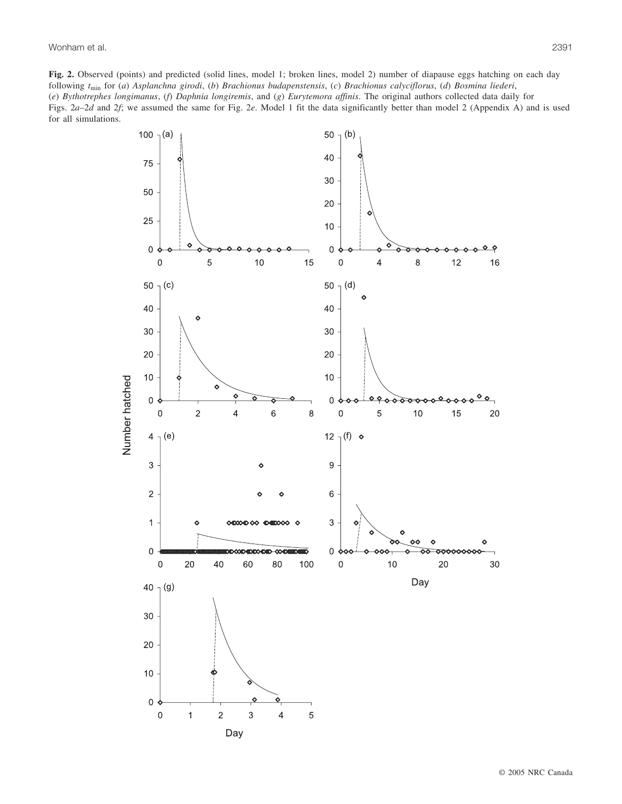**Fig. 2.** Observed (points) and predicted (solid lines, model 1; broken lines, model 2) number of diapause eggs hatching on each day following *t*min for (*a*) *Asplanchna girodi*, (*b*) *Brachionus budapenstensis*, (*c*) *Brachionus calyciflorus*, (*d*) *Bosmina liederi*, (*e*) *Bythotrephes longimanus*, (*f*) *Daphnia longiremis*, and (*g*) *Eurytemora affinis*. The original authors collected data daily for Figs. 2*a*–2*d* and 2*f*; we assumed the same for Fig. 2*e*. Model 1 fit the data significantly better than model 2 (Appendix A) and is used for all simulations.

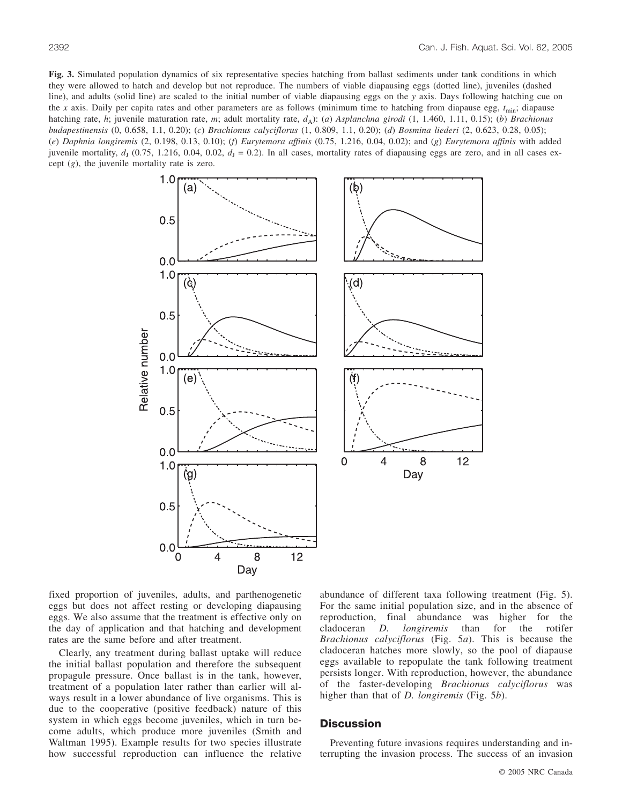**Fig. 3.** Simulated population dynamics of six representative species hatching from ballast sediments under tank conditions in which they were allowed to hatch and develop but not reproduce. The numbers of viable diapausing eggs (dotted line), juveniles (dashed line), and adults (solid line) are scaled to the initial number of viable diapausing eggs on the *y* axis. Days following hatching cue on the *x* axis. Daily per capita rates and other parameters are as follows (minimum time to hatching from diapause egg,  $t_{\text{min}}$ ; diapause hatching rate, *h*; juvenile maturation rate, *m*; adult mortality rate, *d*<sub>A</sub>): (*a*) *Asplanchna girodi* (1, 1.460, 1.11, 0.15); (*b*) *Brachionus budapestinensis* (0, 0.658, 1.1, 0.20); (*c*) *Brachionus calyciflorus* (1, 0.809, 1.1, 0.20); (*d*) *Bosmina liederi* (2, 0.623, 0.28, 0.05); (*e*) *Daphnia longiremis* (2, 0.198, 0.13, 0.10); (*f*) *Eurytemora affinis* (0.75, 1.216, 0.04, 0.02); and (*g*) *Eurytemora affinis* with added juvenile mortality,  $d_1$  (0.75, 1.216, 0.04, 0.02,  $d_1 = 0.2$ ). In all cases, mortality rates of diapausing eggs are zero, and in all cases except (*g*), the juvenile mortality rate is zero.



fixed proportion of juveniles, adults, and parthenogenetic eggs but does not affect resting or developing diapausing eggs. We also assume that the treatment is effective only on the day of application and that hatching and development rates are the same before and after treatment.

Clearly, any treatment during ballast uptake will reduce the initial ballast population and therefore the subsequent propagule pressure. Once ballast is in the tank, however, treatment of a population later rather than earlier will always result in a lower abundance of live organisms. This is due to the cooperative (positive feedback) nature of this system in which eggs become juveniles, which in turn become adults, which produce more juveniles (Smith and Waltman 1995). Example results for two species illustrate how successful reproduction can influence the relative abundance of different taxa following treatment (Fig. 5). For the same initial population size, and in the absence of reproduction, final abundance was higher for the cladoceran *D. longiremis* than for the rotifer *Brachionus calyciflorus* (Fig. 5*a*). This is because the cladoceran hatches more slowly, so the pool of diapause eggs available to repopulate the tank following treatment persists longer. With reproduction, however, the abundance of the faster-developing *Brachionus calyciflorus* was higher than that of *D. longiremis* (Fig. 5*b*).

## **Discussion**

Preventing future invasions requires understanding and interrupting the invasion process. The success of an invasion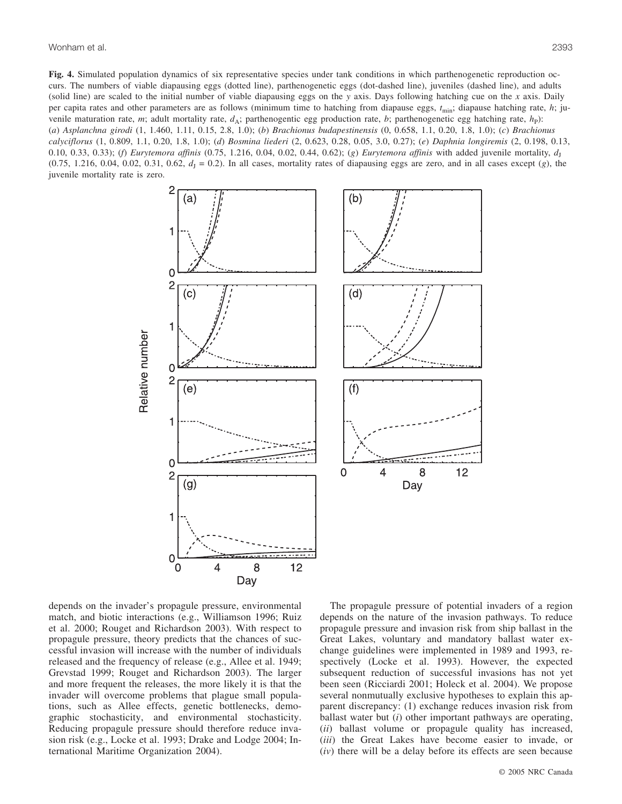Wonham et al. 2393

**Fig. 4.** Simulated population dynamics of six representative species under tank conditions in which parthenogenetic reproduction occurs. The numbers of viable diapausing eggs (dotted line), parthenogenetic eggs (dot-dashed line), juveniles (dashed line), and adults (solid line) are scaled to the initial number of viable diapausing eggs on the *y* axis. Days following hatching cue on the *x* axis. Daily per capita rates and other parameters are as follows (minimum time to hatching from diapause eggs,  $t_{\text{min}}$ ; diapause hatching rate, *h*; juvenile maturation rate, *m*; adult mortality rate,  $d_A$ ; parthenogentic egg production rate, *b*; parthenogenetic egg hatching rate,  $h_P$ ): (*a*) *Asplanchna girodi* (1, 1.460, 1.11, 0.15, 2.8, 1.0); (*b*) *Brachionus budapestinensis* (0, 0.658, 1.1, 0.20, 1.8, 1.0); (*c*) *Brachionus calyciflorus* (1, 0.809, 1.1, 0.20, 1.8, 1.0); (*d*) *Bosmina liederi* (2, 0.623, 0.28, 0.05, 3.0, 0.27); (*e*) *Daphnia longiremis* (2, 0.198, 0.13, 0.10, 0.33, 0.33); (*f*) *Eurytemora affinis* (0.75, 1.216, 0.04, 0.02, 0.44, 0.62); (*g*) *Eurytemora affinis* with added juvenile mortality,  $d_1$  $(0.75, 1.216, 0.04, 0.02, 0.31, 0.62, d<sub>1</sub> = 0.2)$ . In all cases, mortality rates of diapausing eggs are zero, and in all cases except (*g*), the juvenile mortality rate is zero.



depends on the invader's propagule pressure, environmental match, and biotic interactions (e.g., Williamson 1996; Ruiz et al. 2000; Rouget and Richardson 2003). With respect to propagule pressure, theory predicts that the chances of successful invasion will increase with the number of individuals released and the frequency of release (e.g., Allee et al. 1949; Grevstad 1999; Rouget and Richardson 2003). The larger and more frequent the releases, the more likely it is that the invader will overcome problems that plague small populations, such as Allee effects, genetic bottlenecks, demographic stochasticity, and environmental stochasticity. Reducing propagule pressure should therefore reduce invasion risk (e.g., Locke et al. 1993; Drake and Lodge 2004; International Maritime Organization 2004).

The propagule pressure of potential invaders of a region depends on the nature of the invasion pathways. To reduce propagule pressure and invasion risk from ship ballast in the Great Lakes, voluntary and mandatory ballast water exchange guidelines were implemented in 1989 and 1993, respectively (Locke et al. 1993). However, the expected subsequent reduction of successful invasions has not yet been seen (Ricciardi 2001; Holeck et al. 2004). We propose several nonmutually exclusive hypotheses to explain this apparent discrepancy: (1) exchange reduces invasion risk from ballast water but (*i*) other important pathways are operating, (*ii*) ballast volume or propagule quality has increased, (*iii*) the Great Lakes have become easier to invade, or (*iv*) there will be a delay before its effects are seen because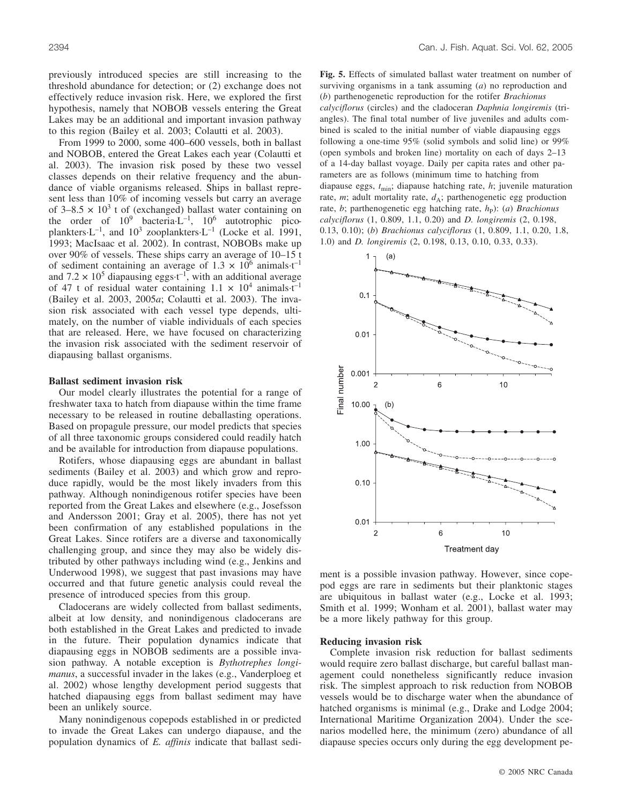previously introduced species are still increasing to the threshold abundance for detection; or (2) exchange does not effectively reduce invasion risk. Here, we explored the first hypothesis, namely that NOBOB vessels entering the Great Lakes may be an additional and important invasion pathway to this region (Bailey et al. 2003; Colautti et al. 2003).

From 1999 to 2000, some 400–600 vessels, both in ballast and NOBOB, entered the Great Lakes each year (Colautti et al. 2003). The invasion risk posed by these two vessel classes depends on their relative frequency and the abundance of viable organisms released. Ships in ballast represent less than 10% of incoming vessels but carry an average of  $3-8.5 \times 10^3$  t of (exchanged) ballast water containing on the order of  $10^9$  bacteria·L<sup>-1</sup>,  $10^6$  autotrophic picoplankters $-L^{-1}$ , and  $10^3$  zooplankters $-L^{-1}$  (Locke et al. 1991, 1993; MacIsaac et al. 2002). In contrast, NOBOBs make up over 90% of vessels. These ships carry an average of 10–15 t of sediment containing an average of  $1.3 \times 10^6$  animals·t<sup>-1</sup> and  $7.2 \times 10^5$  diapausing eggs  $t^{-1}$ , with an additional average of 47 t of residual water containing  $1.1 \times 10^4$  animals·t<sup>-1</sup> (Bailey et al. 2003, 2005*a*; Colautti et al. 2003). The invasion risk associated with each vessel type depends, ultimately, on the number of viable individuals of each species that are released. Here, we have focused on characterizing the invasion risk associated with the sediment reservoir of diapausing ballast organisms.

#### **Ballast sediment invasion risk**

Our model clearly illustrates the potential for a range of freshwater taxa to hatch from diapause within the time frame necessary to be released in routine deballasting operations. Based on propagule pressure, our model predicts that species of all three taxonomic groups considered could readily hatch and be available for introduction from diapause populations.

Rotifers, whose diapausing eggs are abundant in ballast sediments (Bailey et al. 2003) and which grow and reproduce rapidly, would be the most likely invaders from this pathway. Although nonindigenous rotifer species have been reported from the Great Lakes and elsewhere (e.g., Josefsson and Andersson 2001; Gray et al. 2005), there has not yet been confirmation of any established populations in the Great Lakes. Since rotifers are a diverse and taxonomically challenging group, and since they may also be widely distributed by other pathways including wind (e.g., Jenkins and Underwood 1998), we suggest that past invasions may have occurred and that future genetic analysis could reveal the presence of introduced species from this group.

Cladocerans are widely collected from ballast sediments, albeit at low density, and nonindigenous cladocerans are both established in the Great Lakes and predicted to invade in the future. Their population dynamics indicate that diapausing eggs in NOBOB sediments are a possible invasion pathway. A notable exception is *Bythotrephes longimanus*, a successful invader in the lakes (e.g., Vanderploeg et al. 2002) whose lengthy development period suggests that hatched diapausing eggs from ballast sediment may have been an unlikely source.

Many nonindigenous copepods established in or predicted to invade the Great Lakes can undergo diapause, and the population dynamics of *E. affinis* indicate that ballast sedi**Fig. 5.** Effects of simulated ballast water treatment on number of surviving organisms in a tank assuming (*a*) no reproduction and (*b*) parthenogenetic reproduction for the rotifer *Brachionus calyciflorus* (circles) and the cladoceran *Daphnia longiremis* (triangles). The final total number of live juveniles and adults combined is scaled to the initial number of viable diapausing eggs following a one-time 95% (solid symbols and solid line) or 99% (open symbols and broken line) mortality on each of days 2–13 of a 14-day ballast voyage. Daily per capita rates and other parameters are as follows (minimum time to hatching from diapause eggs,  $t_{\text{min}}$ ; diapause hatching rate, *h*; juvenile maturation rate,  $m$ ; adult mortality rate,  $d_A$ ; parthenogenetic egg production rate, *b*; parthenogenetic egg hatching rate,  $h<sub>P</sub>$ ): (*a*) *Brachionus calyciflorus* (1, 0.809, 1.1, 0.20) and *D. longiremis* (2, 0.198, 0.13, 0.10); (*b*) *Brachionus calyciflorus* (1, 0.809, 1.1, 0.20, 1.8, 1.0) and *D. longiremis* (2, 0.198, 0.13, 0.10, 0.33, 0.33).



ment is a possible invasion pathway. However, since copepod eggs are rare in sediments but their planktonic stages are ubiquitous in ballast water (e.g., Locke et al. 1993; Smith et al. 1999; Wonham et al. 2001), ballast water may be a more likely pathway for this group.

#### **Reducing invasion risk**

Complete invasion risk reduction for ballast sediments would require zero ballast discharge, but careful ballast management could nonetheless significantly reduce invasion risk. The simplest approach to risk reduction from NOBOB vessels would be to discharge water when the abundance of hatched organisms is minimal (e.g., Drake and Lodge 2004; International Maritime Organization 2004). Under the scenarios modelled here, the minimum (zero) abundance of all diapause species occurs only during the egg development pe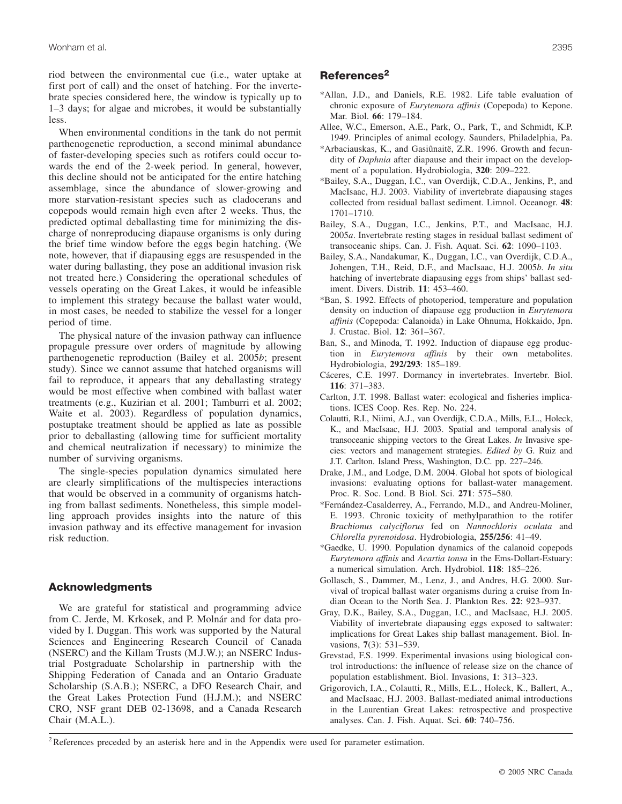riod between the environmental cue (i.e., water uptake at first port of call) and the onset of hatching. For the invertebrate species considered here, the window is typically up to 1–3 days; for algae and microbes, it would be substantially less.

When environmental conditions in the tank do not permit parthenogenetic reproduction, a second minimal abundance of faster-developing species such as rotifers could occur towards the end of the 2-week period. In general, however, this decline should not be anticipated for the entire hatching assemblage, since the abundance of slower-growing and more starvation-resistant species such as cladocerans and copepods would remain high even after 2 weeks. Thus, the predicted optimal deballasting time for minimizing the discharge of nonreproducing diapause organisms is only during the brief time window before the eggs begin hatching. (We note, however, that if diapausing eggs are resuspended in the water during ballasting, they pose an additional invasion risk not treated here.) Considering the operational schedules of vessels operating on the Great Lakes, it would be infeasible to implement this strategy because the ballast water would, in most cases, be needed to stabilize the vessel for a longer period of time.

The physical nature of the invasion pathway can influence propagule pressure over orders of magnitude by allowing parthenogenetic reproduction (Bailey et al. 2005*b*; present study). Since we cannot assume that hatched organisms will fail to reproduce, it appears that any deballasting strategy would be most effective when combined with ballast water treatments (e.g., Kuzirian et al. 2001; Tamburri et al. 2002; Waite et al. 2003). Regardless of population dynamics, postuptake treatment should be applied as late as possible prior to deballasting (allowing time for sufficient mortality and chemical neutralization if necessary) to minimize the number of surviving organisms.

The single-species population dynamics simulated here are clearly simplifications of the multispecies interactions that would be observed in a community of organisms hatching from ballast sediments. Nonetheless, this simple modelling approach provides insights into the nature of this invasion pathway and its effective management for invasion risk reduction.

## **Acknowledgments**

We are grateful for statistical and programming advice from C. Jerde, M. Krkosek, and P. Molnár and for data provided by I. Duggan. This work was supported by the Natural Sciences and Engineering Research Council of Canada (NSERC) and the Killam Trusts (M.J.W.); an NSERC Industrial Postgraduate Scholarship in partnership with the Shipping Federation of Canada and an Ontario Graduate Scholarship (S.A.B.); NSERC, a DFO Research Chair, and the Great Lakes Protection Fund (H.J.M.); and NSERC CRO, NSF grant DEB 02-13698, and a Canada Research Chair (M.A.L.).

# **References<sup>2</sup>**

- \*Allan, J.D., and Daniels, R.E. 1982. Life table evaluation of chronic exposure of *Eurytemora affinis* (Copepoda) to Kepone. Mar. Biol. **66**: 179–184.
- Allee, W.C., Emerson, A.E., Park, O., Park, T., and Schmidt, K.P. 1949. Principles of animal ecology. Saunders, Philadelphia, Pa.
- \*Arbaciauskas, K., and Gasiûnaitë, Z.R. 1996. Growth and fecundity of *Daphnia* after diapause and their impact on the development of a population. Hydrobiologia, **320**: 209–222.
- \*Bailey, S.A., Duggan, I.C., van Overdijk, C.D.A., Jenkins, P., and MacIsaac, H.J. 2003. Viability of invertebrate diapausing stages collected from residual ballast sediment. Limnol. Oceanogr. **48**: 1701–1710.
- Bailey, S.A., Duggan, I.C., Jenkins, P.T., and MacIsaac, H.J. 2005*a*. Invertebrate resting stages in residual ballast sediment of transoceanic ships. Can. J. Fish. Aquat. Sci. **62**: 1090–1103.
- Bailey, S.A., Nandakumar, K., Duggan, I.C., van Overdijk, C.D.A., Johengen, T.H., Reid, D.F., and MacIsaac, H.J. 2005*b*. *In situ* hatching of invertebrate diapausing eggs from ships' ballast sediment. Divers. Distrib. **11**: 453–460.
- \*Ban, S. 1992. Effects of photoperiod, temperature and population density on induction of diapause egg production in *Eurytemora affinis* (Copepoda: Calanoida) in Lake Ohnuma, Hokkaido, Jpn. J. Crustac. Biol. **12**: 361–367.
- Ban, S., and Minoda, T. 1992. Induction of diapause egg production in *Eurytemora affinis* by their own metabolites. Hydrobiologia, **292/293**: 185–189.
- Cáceres, C.E. 1997. Dormancy in invertebrates. Invertebr. Biol. **116**: 371–383.
- Carlton, J.T. 1998. Ballast water: ecological and fisheries implications. ICES Coop. Res. Rep. No. 224.
- Colautti, R.I., Niimi, A.J., van Overdijk, C.D.A., Mills, E.L., Holeck, K., and MacIsaac, H.J. 2003. Spatial and temporal analysis of transoceanic shipping vectors to the Great Lakes. *In* Invasive species: vectors and management strategies. *Edited by* G. Ruiz and J.T. Carlton. Island Press, Washington, D.C. pp. 227–246.
- Drake, J.M., and Lodge, D.M. 2004. Global hot spots of biological invasions: evaluating options for ballast-water management. Proc. R. Soc. Lond. B Biol. Sci. **271**: 575–580.
- \*Fernández-Casalderrey, A., Ferrando, M.D., and Andreu-Moliner, E. 1993. Chronic toxicity of methylparathion to the rotifer *Brachionus calyciflorus* fed on *Nannochloris oculata* and *Chlorella pyrenoidosa*. Hydrobiologia, **255/256**: 41–49.
- \*Gaedke, U. 1990. Population dynamics of the calanoid copepods *Eurytemora affinis* and *Acartia tonsa* in the Ems-Dollart-Estuary: a numerical simulation. Arch. Hydrobiol. **118**: 185–226.
- Gollasch, S., Dammer, M., Lenz, J., and Andres, H.G. 2000. Survival of tropical ballast water organisms during a cruise from Indian Ocean to the North Sea. J. Plankton Res. **22**: 923–937.
- Gray, D.K., Bailey, S.A., Duggan, I.C., and MacIsaac, H.J. 2005. Viability of invertebrate diapausing eggs exposed to saltwater: implications for Great Lakes ship ballast management. Biol. Invasions, **7**(3): 531–539.
- Grevstad, F.S. 1999. Experimental invasions using biological control introductions: the influence of release size on the chance of population establishment. Biol. Invasions, **1**: 313–323.
- Grigorovich, I.A., Colautti, R., Mills, E.L., Holeck, K., Ballert, A., and MacIsaac, H.J. 2003. Ballast-mediated animal introductions in the Laurentian Great Lakes: retrospective and prospective analyses. Can. J. Fish. Aquat. Sci. **60**: 740–756.

<sup>&</sup>lt;sup>2</sup>References preceded by an asterisk here and in the Appendix were used for parameter estimation.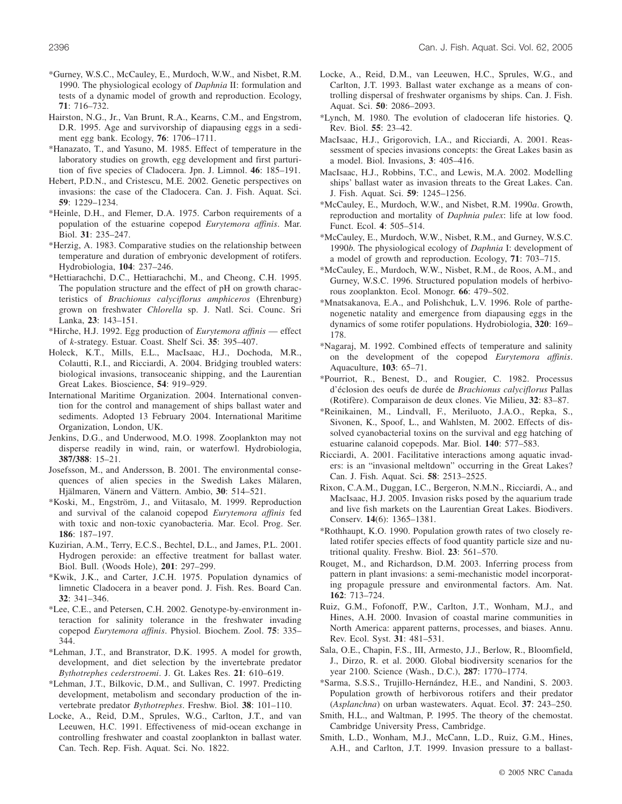- \*Gurney, W.S.C., McCauley, E., Murdoch, W.W., and Nisbet, R.M. 1990. The physiological ecology of *Daphnia* II: formulation and tests of a dynamic model of growth and reproduction. Ecology, **71**: 716–732.
- Hairston, N.G., Jr., Van Brunt, R.A., Kearns, C.M., and Engstrom, D.R. 1995. Age and survivorship of diapausing eggs in a sediment egg bank. Ecology, **76**: 1706–1711.
- \*Hanazato, T., and Yasuno, M. 1985. Effect of temperature in the laboratory studies on growth, egg development and first parturition of five species of Cladocera. Jpn. J. Limnol. **46**: 185–191.
- Hebert, P.D.N., and Cristescu, M.E. 2002. Genetic perspectives on invasions: the case of the Cladocera. Can. J. Fish. Aquat. Sci. **59**: 1229–1234.
- \*Heinle, D.H., and Flemer, D.A. 1975. Carbon requirements of a population of the estuarine copepod *Eurytemora affinis*. Mar. Biol. **31**: 235–247.
- \*Herzig, A. 1983. Comparative studies on the relationship between temperature and duration of embryonic development of rotifers. Hydrobiologia, **104**: 237–246.
- \*Hettiarachchi, D.C., Hettiarachchi, M., and Cheong, C.H. 1995. The population structure and the effect of pH on growth characteristics of *Brachionus calyciflorus amphiceros* (Ehrenburg) grown on freshwater *Chlorella* sp. J. Natl. Sci. Counc. Sri Lanka, **23**: 143–151.
- \*Hirche, H.J. 1992. Egg production of *Eurytemora affinis* effect of *k*-strategy. Estuar. Coast. Shelf Sci. **35**: 395–407.
- Holeck, K.T., Mills, E.L., MacIsaac, H.J., Dochoda, M.R., Colautti, R.I., and Ricciardi, A. 2004. Bridging troubled waters: biological invasions, transoceanic shipping, and the Laurentian Great Lakes. Bioscience, **54**: 919–929.
- International Maritime Organization. 2004. International convention for the control and management of ships ballast water and sediments. Adopted 13 February 2004. International Maritime Organization, London, UK.
- Jenkins, D.G., and Underwood, M.O. 1998. Zooplankton may not disperse readily in wind, rain, or waterfowl. Hydrobiologia, **387/388**: 15–21.
- Josefsson, M., and Andersson, B. 2001. The environmental consequences of alien species in the Swedish Lakes Mälaren, Hjälmaren, Vänern and Vättern. Ambio, **30**: 514–521.
- \*Koski, M., Engström, J., and Viitasalo, M. 1999. Reproduction and survival of the calanoid copepod *Eurytemora affinis* fed with toxic and non-toxic cyanobacteria. Mar. Ecol. Prog. Ser. **186**: 187–197.
- Kuzirian, A.M., Terry, E.C.S., Bechtel, D.L., and James, P.L. 2001. Hydrogen peroxide: an effective treatment for ballast water. Biol. Bull. (Woods Hole), **201**: 297–299.
- \*Kwik, J.K., and Carter, J.C.H. 1975. Population dynamics of limnetic Cladocera in a beaver pond. J. Fish. Res. Board Can. **32**: 341–346.
- \*Lee, C.E., and Petersen, C.H. 2002. Genotype-by-environment interaction for salinity tolerance in the freshwater invading copepod *Eurytemora affinis*. Physiol. Biochem. Zool. **75**: 335– 344.
- \*Lehman, J.T., and Branstrator, D.K. 1995. A model for growth, development, and diet selection by the invertebrate predator *Bythotrephes cederstroemi*. J. Gt. Lakes Res. **21**: 610–619.
- \*Lehman, J.T., Bilkovic, D.M., and Sullivan, C. 1997. Predicting development, metabolism and secondary production of the invertebrate predator *Bythotrephes*. Freshw. Biol. **38**: 101–110.
- Locke, A., Reid, D.M., Sprules, W.G., Carlton, J.T., and van Leeuwen, H.C. 1991. Effectiveness of mid-ocean exchange in controlling freshwater and coastal zooplankton in ballast water. Can. Tech. Rep. Fish. Aquat. Sci. No. 1822.
- Locke, A., Reid, D.M., van Leeuwen, H.C., Sprules, W.G., and Carlton, J.T. 1993. Ballast water exchange as a means of controlling dispersal of freshwater organisms by ships. Can. J. Fish. Aquat. Sci. **50**: 2086–2093.
- \*Lynch, M. 1980. The evolution of cladoceran life histories. Q. Rev. Biol. **55**: 23–42.
- MacIsaac, H.J., Grigorovich, I.A., and Ricciardi, A. 2001. Reassessment of species invasions concepts: the Great Lakes basin as a model. Biol. Invasions, **3**: 405–416.
- MacIsaac, H.J., Robbins, T.C., and Lewis, M.A. 2002. Modelling ships' ballast water as invasion threats to the Great Lakes. Can. J. Fish. Aquat. Sci. **59**: 1245–1256.
- \*McCauley, E., Murdoch, W.W., and Nisbet, R.M. 1990*a*. Growth, reproduction and mortality of *Daphnia pulex*: life at low food. Funct. Ecol. **4**: 505–514.
- \*McCauley, E., Murdoch, W.W., Nisbet, R.M., and Gurney, W.S.C. 1990*b*. The physiological ecology of *Daphnia* I: development of a model of growth and reproduction. Ecology, **71**: 703–715.
- \*McCauley, E., Murdoch, W.W., Nisbet, R.M., de Roos, A.M., and Gurney, W.S.C. 1996. Structured population models of herbivorous zooplankton. Ecol. Monogr. **66**: 479–502.
- \*Mnatsakanova, E.A., and Polishchuk, L.V. 1996. Role of parthenogenetic natality and emergence from diapausing eggs in the dynamics of some rotifer populations. Hydrobiologia, **320**: 169– 178.
- \*Nagaraj, M. 1992. Combined effects of temperature and salinity on the development of the copepod *Eurytemora affinis*. Aquaculture, **103**: 65–71.
- \*Pourriot, R., Benest, D., and Rougier, C. 1982. Processus d'éclosion des oeufs de durée de *Brachionus calyciflorus* Pallas (Rotifère). Comparaison de deux clones. Vie Milieu, **32**: 83–87.
- \*Reinikainen, M., Lindvall, F., Meriluoto, J.A.O., Repka, S., Sivonen, K., Spoof, L., and Wahlsten, M. 2002. Effects of dissolved cyanobacterial toxins on the survival and egg hatching of estuarine calanoid copepods. Mar. Biol. **140**: 577–583.
- Ricciardi, A. 2001. Facilitative interactions among aquatic invaders: is an "invasional meltdown" occurring in the Great Lakes? Can. J. Fish. Aquat. Sci. **58**: 2513–2525.
- Rixon, C.A.M., Duggan, I.C., Bergeron, N.M.N., Ricciardi, A., and MacIsaac, H.J. 2005. Invasion risks posed by the aquarium trade and live fish markets on the Laurentian Great Lakes. Biodivers. Conserv. **14**(6): 1365–1381.
- \*Rothhaupt, K.O. 1990. Population growth rates of two closely related rotifer species effects of food quantity particle size and nutritional quality. Freshw. Biol. **23**: 561–570.
- Rouget, M., and Richardson, D.M. 2003. Inferring process from pattern in plant invasions: a semi-mechanistic model incorporating propagule pressure and environmental factors. Am. Nat. **162**: 713–724.
- Ruiz, G.M., Fofonoff, P.W., Carlton, J.T., Wonham, M.J., and Hines, A.H. 2000. Invasion of coastal marine communities in North America: apparent patterns, processes, and biases. Annu. Rev. Ecol. Syst. **31**: 481–531.
- Sala, O.E., Chapin, F.S., III, Armesto, J.J., Berlow, R., Bloomfield, J., Dirzo, R. et al. 2000. Global biodiversity scenarios for the year 2100. Science (Wash., D.C.), **287**: 1770–1774.
- \*Sarma, S.S.S., Trujillo-Hernández, H.E., and Nandini, S. 2003. Population growth of herbivorous rotifers and their predator (*Asplanchna*) on urban wastewaters. Aquat. Ecol. **37**: 243–250.
- Smith, H.L., and Waltman, P. 1995. The theory of the chemostat. Cambridge University Press, Cambridge.
- Smith, L.D., Wonham, M.J., McCann, L.D., Ruiz, G.M., Hines, A.H., and Carlton, J.T. 1999. Invasion pressure to a ballast-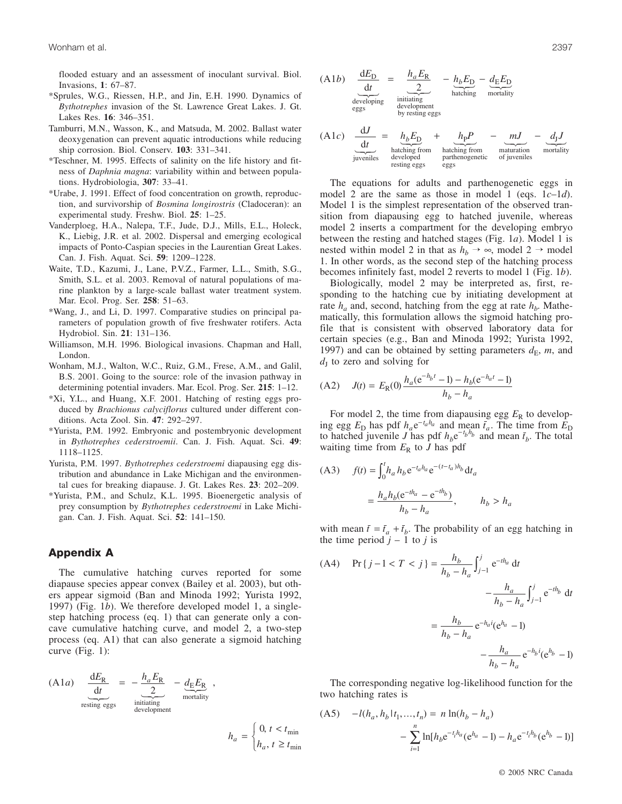flooded estuary and an assessment of inoculant survival. Biol. Invasions, **1**: 67–87.

- \*Sprules, W.G., Riessen, H.P., and Jin, E.H. 1990. Dynamics of *Bythotrephes* invasion of the St. Lawrence Great Lakes. J. Gt. Lakes Res. **16**: 346–351.
- Tamburri, M.N., Wasson, K., and Matsuda, M. 2002. Ballast water deoxygenation can prevent aquatic introductions while reducing ship corrosion. Biol. Conserv. **103**: 331–341.
- \*Teschner, M. 1995. Effects of salinity on the life history and fitness of *Daphnia magna*: variability within and between populations. Hydrobiologia, **307**: 33–41.
- \*Urabe, J. 1991. Effect of food concentration on growth, reproduction, and survivorship of *Bosmina longirostris* (Cladoceran): an experimental study. Freshw. Biol. **25**: 1–25.
- Vanderploeg, H.A., Nalepa, T.F., Jude, D.J., Mills, E.L., Holeck, K., Liebig, J.R. et al. 2002. Dispersal and emerging ecological impacts of Ponto-Caspian species in the Laurentian Great Lakes. Can. J. Fish. Aquat. Sci. **59**: 1209–1228.
- Waite, T.D., Kazumi, J., Lane, P.V.Z., Farmer, L.L., Smith, S.G., Smith, S.L. et al. 2003. Removal of natural populations of marine plankton by a large-scale ballast water treatment system. Mar. Ecol. Prog. Ser. **258**: 51–63.
- \*Wang, J., and Li, D. 1997. Comparative studies on principal parameters of population growth of five freshwater rotifers. Acta Hydrobiol. Sin. **21**: 131–136.
- Williamson, M.H. 1996. Biological invasions. Chapman and Hall, London.
- Wonham, M.J., Walton, W.C., Ruiz, G.M., Frese, A.M., and Galil, B.S. 2001. Going to the source: role of the invasion pathway in determining potential invaders. Mar. Ecol. Prog. Ser. **215**: 1–12.
- \*Xi, Y.L., and Huang, X.F. 2001. Hatching of resting eggs produced by *Brachionus calyciflorus* cultured under different conditions. Acta Zool. Sin. **47**: 292–297.
- \*Yurista, P.M. 1992. Embryonic and postembryonic development in *Bythotrephes cederstroemii*. Can. J. Fish. Aquat. Sci. **49**: 1118–1125.
- Yurista, P.M. 1997. *Bythotrephes cederstroemi* diapausing egg distribution and abundance in Lake Michigan and the environmental cues for breaking diapause. J. Gt. Lakes Res. **23**: 202–209.
- \*Yurista, P.M., and Schulz, K.L. 1995. Bioenergetic analysis of prey consumption by *Bythotrephes cederstroemi* in Lake Michigan. Can. J. Fish. Aquat. Sci. **52**: 141–150.

# **Appendix A**

The cumulative hatching curves reported for some diapause species appear convex (Bailey et al. 2003), but others appear sigmoid (Ban and Minoda 1992; Yurista 1992, 1997) (Fig. 1*b*). We therefore developed model 1, a singlestep hatching process (eq. 1) that can generate only a concave cumulative hatching curve, and model 2, a two-step process (eq. A1) that can also generate a sigmoid hatching curve (Fig. 1):

> $h_a = \begin{cases} 0, t < t \\ 0, t \end{cases}$  $a = \begin{cases} h_a, t \geq t \end{cases}$  $=\begin{cases} 0, t < \\ h_a, t \geq \end{cases}$  $\int$ ⎨ ⎩ 0, ,

min min

(A1*a*) 
$$
\underbrace{\frac{dE_{R}}{dt}}_{\text{resting eggs}} = -\underbrace{\frac{h_{a}E_{R}}{2}}_{\text{initialing}} - \underbrace{d_{E}E_{R}}_{\text{mortality}},
$$

(A1*b*) 
$$
\underbrace{\frac{dE_D}{dt}}_{\text{developing}} = \underbrace{\frac{h_a E_R}{2}}_{\text{initialing}} - \underbrace{h_b E_D}_{\text{hatching}} - \underbrace{d_E E_D}_{\text{mortality}}
$$

(A1c) 
$$
\frac{dJ}{dt} = h_b E_D + h_p P - mJ - d_J J
$$
  
factoring from  
luctening from  
luctening from  
parthenogenic  
partuence of juvenile  
sting eggs

The equations for adults and parthenogenetic eggs in model 2 are the same as those in model 1 (eqs. 1*c*–1*d*). Model 1 is the simplest representation of the observed transition from diapausing egg to hatched juvenile, whereas model 2 inserts a compartment for the developing embryo between the resting and hatched stages (Fig. 1*a*). Model 1 is nested within model 2 in that as  $h_b \rightarrow \infty$ , model 2  $\rightarrow$  model 1. In other words, as the second step of the hatching process becomes infinitely fast, model 2 reverts to model 1 (Fig. 1*b*).

Biologically, model 2 may be interpreted as, first, responding to the hatching cue by initiating development at rate  $h_a$  and, second, hatching from the egg at rate  $h_b$ . Mathematically, this formulation allows the sigmoid hatching profile that is consistent with observed laboratory data for certain species (e.g., Ban and Minoda 1992; Yurista 1992, 1997) and can be obtained by setting parameters  $d_E$ , *m*, and  $d<sub>I</sub>$  to zero and solving for

(A2) 
$$
J(t) = E_{R}(0) \frac{h_a (e^{-h_b t} - 1) - h_b (e^{-h_a t} - 1)}{h_b - h_a}
$$

For model 2, the time from diapausing egg  $E_R$  to developing egg  $E_D$  has pdf  $h_a e^{-t_a h_a}$  and mean  $\bar{t}_a$ . The time from  $\bar{E}_D$ to hatched juvenile *J* has pdf  $h_b e^{-t_b h_b}$  and mean  $\bar{t}_b$ . The total waiting time from  $E_R$  to *J* has pdf

(A3) 
$$
f(t) = \int_0^t h_a h_b e^{-t_a h_a} e^{-(t-t_a)h_b} dt_a
$$

$$
= \frac{h_a h_b (e^{-th_a} - e^{-th_b})}{h_b - h_a}, \qquad h_b > h_a
$$

with mean  $\bar{t} = \bar{t}_a + \bar{t}_b$ . The probability of an egg hatching in the time period  $j - 1$  to  $j$  is

(A4) 
$$
\Pr\{j-1 < T < j\} = \frac{h_b}{h_b - h_a} \int_{j-1}^j e^{-th_a} dt - \frac{h_a}{h_b - h_a} \int_{j-1}^j e^{-th_b} dt - \frac{h_b}{h_b - h_a} e^{-h_a i} (e^{h_a} - 1) - \frac{h_a}{h_b - h_a} e^{-h_b i} (e^{h_b} - 1)
$$

The corresponding negative log-likelihood function for the two hatching rates is

(A5) 
$$
-l(h_a, h_b | t_1, ..., t_n) = n \ln(h_b - h_a)
$$

$$
- \sum_{i=1}^n \ln[h_b e^{-t_i h_a} (e^{h_a} - 1) - h_a e^{-t_i h_b} (e^{h_b} - 1)]
$$